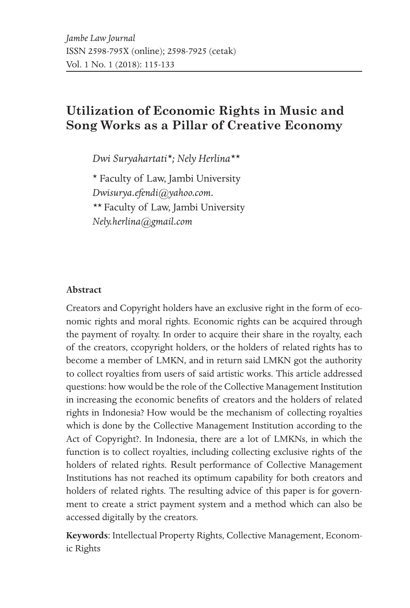# **Utilization of Economic Rights in Music and Song Works as a Pillar of Creative Economy**

*Dwi Suryahartati\*; Nely Herlina\*\**

\* Faculty of Law, Jambi University *Dwisurya.efendi@yahoo.com. \*\** Faculty of Law, Jambi University *Nely.herlina@gmail.com*

#### **Abstract**

Creators and Copyright holders have an exclusive right in the form of economic rights and moral rights. Economic rights can be acquired through the payment of royalty. In order to acquire their share in the royalty, each of the creators, ccopyright holders, or the holders of related rights has to become a member of LMKN, and in return said LMKN got the authority to collect royalties from users of said artistic works. This article addressed questions: how would be the role of the Collective Management Institution in increasing the economic benefits of creators and the holders of related rights in Indonesia? How would be the mechanism of collecting royalties which is done by the Collective Management Institution according to the Act of Copyright?. In Indonesia, there are a lot of LMKNs, in which the function is to collect royalties, including collecting exclusive rights of the holders of related rights. Result performance of Collective Management Institutions has not reached its optimum capability for both creators and holders of related rights. The resulting advice of this paper is for government to create a strict payment system and a method which can also be accessed digitally by the creators.

**Keywords**: Intellectual Property Rights, Collective Management, Economic Rights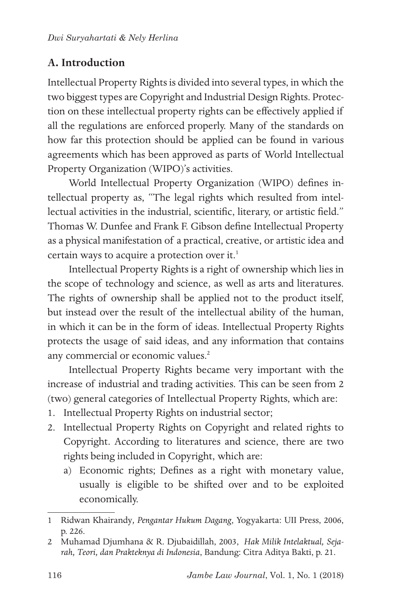# **A. Introduction**

Intellectual Property Rights is divided into several types, in which the two biggest types are Copyright and Industrial Design Rights. Protection on these intellectual property rights can be effectively applied if all the regulations are enforced properly. Many of the standards on how far this protection should be applied can be found in various agreements which has been approved as parts of World Intellectual Property Organization (WIPO)'s activities.

World Intellectual Property Organization (WIPO) defines intellectual property as, "The legal rights which resulted from intellectual activities in the industrial, scientific, literary, or artistic field." Thomas W. Dunfee and Frank F. Gibson define Intellectual Property as a physical manifestation of a practical, creative, or artistic idea and certain ways to acquire a protection over it.<sup>1</sup>

Intellectual Property Rights is a right of ownership which lies in the scope of technology and science, as well as arts and literatures. The rights of ownership shall be applied not to the product itself, but instead over the result of the intellectual ability of the human, in which it can be in the form of ideas. Intellectual Property Rights protects the usage of said ideas, and any information that contains any commercial or economic values.<sup>2</sup>

Intellectual Property Rights became very important with the increase of industrial and trading activities. This can be seen from 2 (two) general categories of Intellectual Property Rights, which are:

- 1. Intellectual Property Rights on industrial sector;
- 2. Intellectual Property Rights on Copyright and related rights to Copyright. According to literatures and science, there are two rights being included in Copyright, which are:
	- a) Economic rights; Defines as a right with monetary value, usually is eligible to be shifted over and to be exploited economically.

<sup>1</sup> Ridwan Khairandy*, Pengantar Hukum Dagang*, Yogyakarta: UII Press, 2006, p. 226.

<sup>2</sup> Muhamad Djumhana & R. Djubaidillah, 2003, *Hak Milik Intelaktual, Sejarah, Teori, dan Prakteknya di Indonesia*, Bandung: Citra Aditya Bakti, p. 21.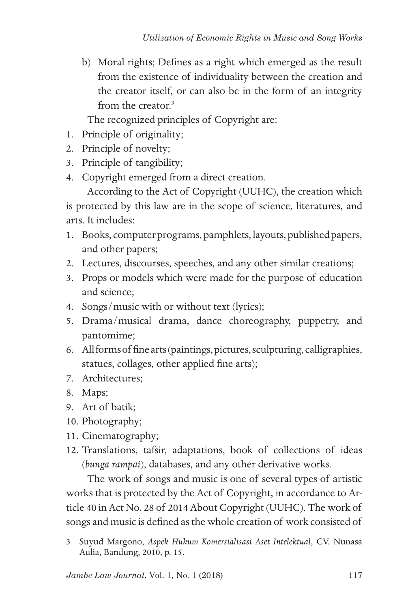b) Moral rights; Defines as a right which emerged as the result from the existence of individuality between the creation and the creator itself, or can also be in the form of an integrity from the creator.<sup>3</sup>

The recognized principles of Copyright are:

- 1. Principle of originality;
- 2. Principle of novelty;
- 3. Principle of tangibility;
- 4. Copyright emerged from a direct creation.

According to the Act of Copyright (UUHC), the creation which is protected by this law are in the scope of science, literatures, and arts. It includes:

- 1. Books, computer programs, pamphlets, layouts, published papers, and other papers;
- 2. Lectures, discourses, speeches, and any other similar creations;
- 3. Props or models which were made for the purpose of education and science;
- 4. Songs/music with or without text (lyrics);
- 5. Drama/musical drama, dance choreography, puppetry, and pantomime;
- 6. All forms of fine arts (paintings, pictures, sculpturing, calligraphies, statues, collages, other applied fine arts);
- 7. Architectures;
- 8. Maps;
- 9. Art of batik;
- 10. Photography;
- 11. Cinematography;
- 12. Translations, tafsir, adaptations, book of collections of ideas (*bunga rampai*), databases, and any other derivative works.

The work of songs and music is one of several types of artistic works that is protected by the Act of Copyright, in accordance to Article 40 in Act No. 28 of 2014 About Copyright (UUHC). The work of songs and music is defined as the whole creation of work consisted of

<sup>3</sup> Suyud Margono, *Aspek Hukum Komersialisasi Aset Intelektual*, CV. Nunasa Aulia, Bandung, 2010, p. 15.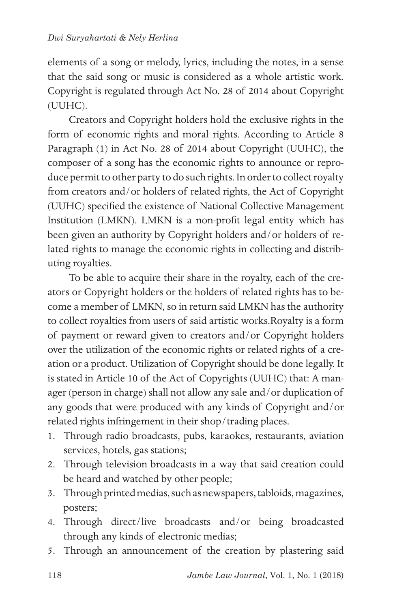elements of a song or melody, lyrics, including the notes, in a sense that the said song or music is considered as a whole artistic work. Copyright is regulated through Act No. 28 of 2014 about Copyright (UUHC).

Creators and Copyright holders hold the exclusive rights in the form of economic rights and moral rights. According to Article 8 Paragraph (1) in Act No. 28 of 2014 about Copyright (UUHC), the composer of a song has the economic rights to announce or reproduce permit to other party to do such rights. In order to collect royalty from creators and/or holders of related rights, the Act of Copyright (UUHC) specified the existence of National Collective Management Institution (LMKN). LMKN is a non-profit legal entity which has been given an authority by Copyright holders and/or holders of related rights to manage the economic rights in collecting and distributing royalties.

To be able to acquire their share in the royalty, each of the creators or Copyright holders or the holders of related rights has to become a member of LMKN, so in return said LMKN has the authority to collect royalties from users of said artistic works.Royalty is a form of payment or reward given to creators and/or Copyright holders over the utilization of the economic rights or related rights of a creation or a product. Utilization of Copyright should be done legally. It is stated in Article 10 of the Act of Copyrights (UUHC) that: A manager (person in charge) shall not allow any sale and/or duplication of any goods that were produced with any kinds of Copyright and/or related rights infringement in their shop/trading places.

- 1. Through radio broadcasts, pubs, karaokes, restaurants, aviation services, hotels, gas stations;
- 2. Through television broadcasts in a way that said creation could be heard and watched by other people;
- 3. Through printed medias, such as newspapers, tabloids, magazines, posters;
- 4. Through direct/live broadcasts and/or being broadcasted through any kinds of electronic medias;
- 5. Through an announcement of the creation by plastering said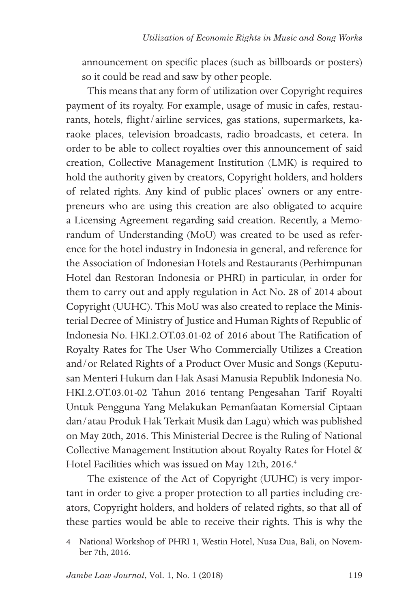announcement on specific places (such as billboards or posters) so it could be read and saw by other people.

This means that any form of utilization over Copyright requires payment of its royalty. For example, usage of music in cafes, restaurants, hotels, flight/airline services, gas stations, supermarkets, karaoke places, television broadcasts, radio broadcasts, et cetera. In order to be able to collect royalties over this announcement of said creation, Collective Management Institution (LMK) is required to hold the authority given by creators, Copyright holders, and holders of related rights. Any kind of public places' owners or any entrepreneurs who are using this creation are also obligated to acquire a Licensing Agreement regarding said creation. Recently, a Memorandum of Understanding (MoU) was created to be used as reference for the hotel industry in Indonesia in general, and reference for the Association of Indonesian Hotels and Restaurants (Perhimpunan Hotel dan Restoran Indonesia or PHRI) in particular, in order for them to carry out and apply regulation in Act No. 28 of 2014 about Copyright (UUHC). This MoU was also created to replace the Ministerial Decree of Ministry of Justice and Human Rights of Republic of Indonesia No. HKI.2.OT.03.01-02 of 2016 about The Ratification of Royalty Rates for The User Who Commercially Utilizes a Creation and/or Related Rights of a Product Over Music and Songs (Keputusan Menteri Hukum dan Hak Asasi Manusia Republik Indonesia No. HKI.2.OT.03.01-02 Tahun 2016 tentang Pengesahan Tarif Royalti Untuk Pengguna Yang Melakukan Pemanfaatan Komersial Ciptaan dan/atau Produk Hak Terkait Musik dan Lagu) which was published on May 20th, 2016. This Ministerial Decree is the Ruling of National Collective Management Institution about Royalty Rates for Hotel & Hotel Facilities which was issued on May 12th, 2016.<sup>4</sup>

The existence of the Act of Copyright (UUHC) is very important in order to give a proper protection to all parties including creators, Copyright holders, and holders of related rights, so that all of these parties would be able to receive their rights. This is why the

<sup>4</sup> National Workshop of PHRI 1, Westin Hotel, Nusa Dua, Bali, on November 7th, 2016.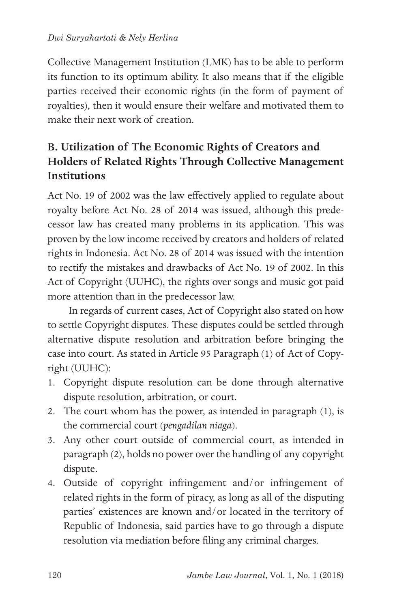Collective Management Institution (LMK) has to be able to perform its function to its optimum ability. It also means that if the eligible parties received their economic rights (in the form of payment of royalties), then it would ensure their welfare and motivated them to make their next work of creation.

# **B. Utilization of The Economic Rights of Creators and Holders of Related Rights Through Collective Management Institutions**

Act No. 19 of 2002 was the law effectively applied to regulate about royalty before Act No. 28 of 2014 was issued, although this predecessor law has created many problems in its application. This was proven by the low income received by creators and holders of related rights in Indonesia. Act No. 28 of 2014 was issued with the intention to rectify the mistakes and drawbacks of Act No. 19 of 2002. In this Act of Copyright (UUHC), the rights over songs and music got paid more attention than in the predecessor law.

In regards of current cases, Act of Copyright also stated on how to settle Copyright disputes. These disputes could be settled through alternative dispute resolution and arbitration before bringing the case into court. As stated in Article 95 Paragraph (1) of Act of Copyright (UUHC):

- 1. Copyright dispute resolution can be done through alternative dispute resolution, arbitration, or court.
- 2. The court whom has the power, as intended in paragraph (1), is the commercial court (*pengadilan niaga*).
- 3. Any other court outside of commercial court, as intended in paragraph (2), holds no power over the handling of any copyright dispute.
- 4. Outside of copyright infringement and/or infringement of related rights in the form of piracy, as long as all of the disputing parties' existences are known and/or located in the territory of Republic of Indonesia, said parties have to go through a dispute resolution via mediation before filing any criminal charges.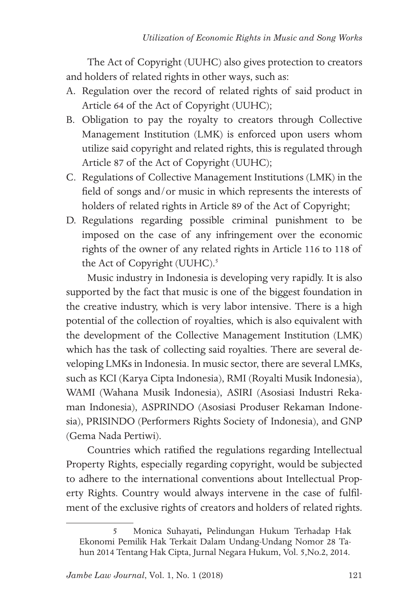The Act of Copyright (UUHC) also gives protection to creators and holders of related rights in other ways, such as:

- A. Regulation over the record of related rights of said product in Article 64 of the Act of Copyright (UUHC);
- B. Obligation to pay the royalty to creators through Collective Management Institution (LMK) is enforced upon users whom utilize said copyright and related rights, this is regulated through Article 87 of the Act of Copyright (UUHC);
- C. Regulations of Collective Management Institutions (LMK) in the field of songs and/or music in which represents the interests of holders of related rights in Article 89 of the Act of Copyright;
- D. Regulations regarding possible criminal punishment to be imposed on the case of any infringement over the economic rights of the owner of any related rights in Article 116 to 118 of the Act of Copyright (UUHC).<sup>5</sup>

Music industry in Indonesia is developing very rapidly. It is also supported by the fact that music is one of the biggest foundation in the creative industry, which is very labor intensive. There is a high potential of the collection of royalties, which is also equivalent with the development of the Collective Management Institution (LMK) which has the task of collecting said royalties. There are several developing LMKs in Indonesia. In music sector, there are several LMKs, such as KCI (Karya Cipta Indonesia), RMI (Royalti Musik Indonesia), WAMI (Wahana Musik Indonesia), ASIRI (Asosiasi Industri Rekaman Indonesia), ASPRINDO (Asosiasi Produser Rekaman Indonesia), PRISINDO (Performers Rights Society of Indonesia), and GNP (Gema Nada Pertiwi).

Countries which ratified the regulations regarding Intellectual Property Rights, especially regarding copyright, would be subjected to adhere to the international conventions about Intellectual Property Rights. Country would always intervene in the case of fulfilment of the exclusive rights of creators and holders of related rights.

<sup>5</sup> Monica Suhayati**,** Pelindungan Hukum Terhadap Hak Ekonomi Pemilik Hak Terkait Dalam Undang-Undang Nomor 28 Tahun 2014 Tentang Hak Cipta, Jurnal Negara Hukum, Vol. 5,No.2, 2014.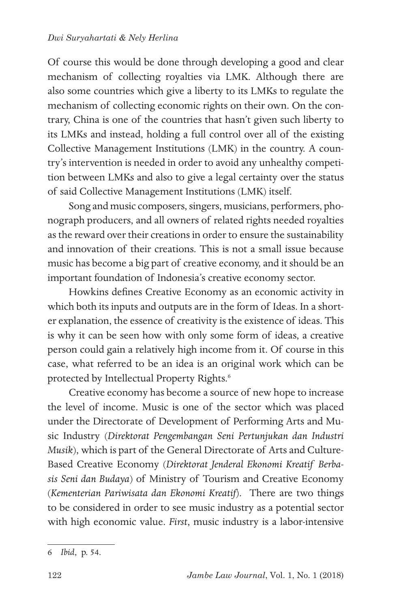Of course this would be done through developing a good and clear mechanism of collecting royalties via LMK. Although there are also some countries which give a liberty to its LMKs to regulate the mechanism of collecting economic rights on their own. On the contrary, China is one of the countries that hasn't given such liberty to its LMKs and instead, holding a full control over all of the existing Collective Management Institutions (LMK) in the country. A country's intervention is needed in order to avoid any unhealthy competition between LMKs and also to give a legal certainty over the status of said Collective Management Institutions (LMK) itself.

Song and music composers, singers, musicians, performers, phonograph producers, and all owners of related rights needed royalties as the reward over their creations in order to ensure the sustainability and innovation of their creations. This is not a small issue because music has become a big part of creative economy, and it should be an important foundation of Indonesia's creative economy sector.

Howkins defines Creative Economy as an economic activity in which both its inputs and outputs are in the form of Ideas. In a shorter explanation, the essence of creativity is the existence of ideas. This is why it can be seen how with only some form of ideas, a creative person could gain a relatively high income from it. Of course in this case, what referred to be an idea is an original work which can be protected by Intellectual Property Rights.<sup>6</sup>

Creative economy has become a source of new hope to increase the level of income. Music is one of the sector which was placed under the Directorate of Development of Performing Arts and Music Industry (*Direktorat Pengembangan Seni Pertunjukan dan Industri Musik*), which is part of the General Directorate of Arts and Culture-Based Creative Economy (*Direktorat Jenderal Ekonomi Kreatif Berbasis Seni dan Budaya*) of Ministry of Tourism and Creative Economy (*Kementerian Pariwisata dan Ekonomi Kreatif*). There are two things to be considered in order to see music industry as a potential sector with high economic value. *First*, music industry is a labor-intensive

<sup>6</sup> *Ibid*, p. 54.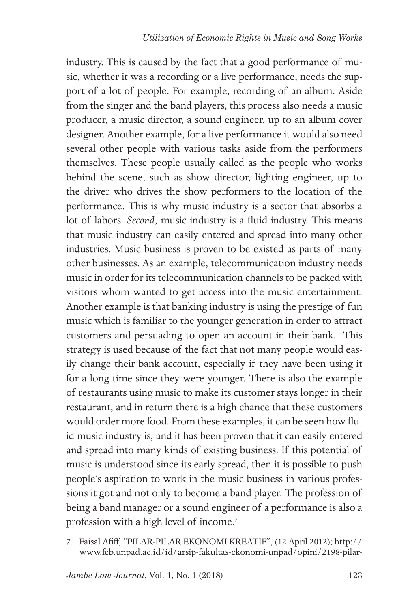industry. This is caused by the fact that a good performance of music, whether it was a recording or a live performance, needs the support of a lot of people. For example, recording of an album. Aside from the singer and the band players, this process also needs a music producer, a music director, a sound engineer, up to an album cover designer. Another example, for a live performance it would also need several other people with various tasks aside from the performers themselves. These people usually called as the people who works behind the scene, such as show director, lighting engineer, up to the driver who drives the show performers to the location of the performance. This is why music industry is a sector that absorbs a lot of labors. *Second*, music industry is a fluid industry. This means that music industry can easily entered and spread into many other industries. Music business is proven to be existed as parts of many other businesses. As an example, telecommunication industry needs music in order for its telecommunication channels to be packed with visitors whom wanted to get access into the music entertainment. Another example is that banking industry is using the prestige of fun music which is familiar to the younger generation in order to attract customers and persuading to open an account in their bank. This strategy is used because of the fact that not many people would easily change their bank account, especially if they have been using it for a long time since they were younger. There is also the example of restaurants using music to make its customer stays longer in their restaurant, and in return there is a high chance that these customers would order more food. From these examples, it can be seen how fluid music industry is, and it has been proven that it can easily entered and spread into many kinds of existing business. If this potential of music is understood since its early spread, then it is possible to push people's aspiration to work in the music business in various professions it got and not only to become a band player. The profession of being a band manager or a sound engineer of a performance is also a profession with a high level of income.<sup>7</sup>

<sup>7</sup> Faisal Afiff, "PILAR-PILAR EKONOMI KREATIF", (12 April 2012); http:// www.feb.unpad.ac.id/id/arsip-fakultas-ekonomi-unpad/opini/2198-pilar-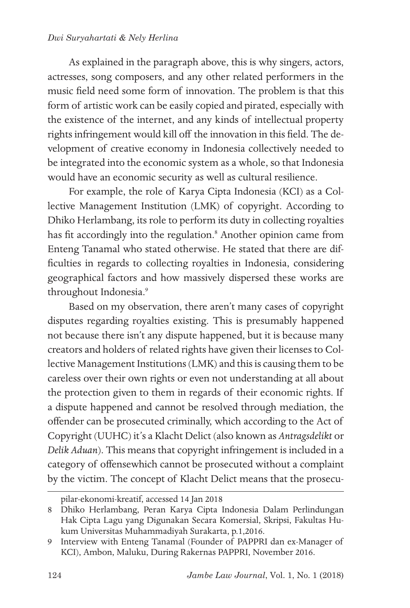#### *Dwi Suryahartati & Nely Herlina*

As explained in the paragraph above, this is why singers, actors, actresses, song composers, and any other related performers in the music field need some form of innovation. The problem is that this form of artistic work can be easily copied and pirated, especially with the existence of the internet, and any kinds of intellectual property rights infringement would kill off the innovation in this field. The development of creative economy in Indonesia collectively needed to be integrated into the economic system as a whole, so that Indonesia would have an economic security as well as cultural resilience.

For example, the role of Karya Cipta Indonesia (KCI) as a Collective Management Institution (LMK) of copyright. According to Dhiko Herlambang, its role to perform its duty in collecting royalties has fit accordingly into the regulation.<sup>8</sup> Another opinion came from Enteng Tanamal who stated otherwise. He stated that there are difficulties in regards to collecting royalties in Indonesia, considering geographical factors and how massively dispersed these works are throughout Indonesia.9

Based on my observation, there aren't many cases of copyright disputes regarding royalties existing. This is presumably happened not because there isn't any dispute happened, but it is because many creators and holders of related rights have given their licenses to Collective Management Institutions (LMK) and this is causing them to be careless over their own rights or even not understanding at all about the protection given to them in regards of their economic rights. If a dispute happened and cannot be resolved through mediation, the offender can be prosecuted criminally, which according to the Act of Copyright (UUHC) it's a Klacht Delict (also known as *Antragsdelikt* or *Delik Aduan*). This means that copyright infringement is included in a category of offensewhich cannot be prosecuted without a complaint by the victim. The concept of Klacht Delict means that the prosecu-

pilar-ekonomi-kreatif, accessed 14 Jan 2018

<sup>8</sup> Dhiko Herlambang, Peran Karya Cipta Indonesia Dalam Perlindungan Hak Cipta Lagu yang Digunakan Secara Komersial, Skripsi, Fakultas Hukum Universitas Muhammadiyah Surakarta, p.1,2016.

<sup>9</sup> Interview with Enteng Tanamal (Founder of PAPPRI dan ex-Manager of KCI), Ambon, Maluku, During Rakernas PAPPRI, November 2016.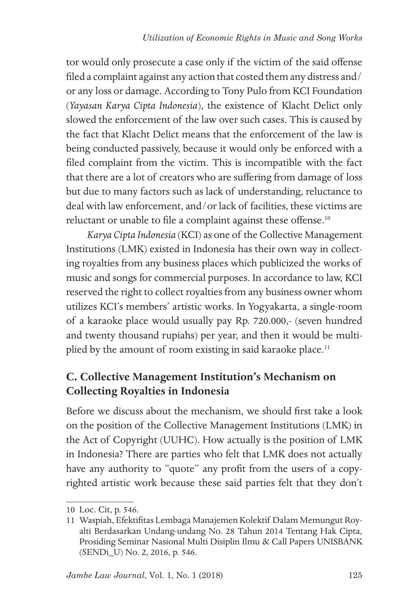tor would only prosecute a case only if the victim of the said offense filed a complaint against any action that costed them any distress and/ or any loss or damage. According to Tony Pulo from KCI Foundation (*Yayasan Karya Cipta Indonesia*), the existence of Klacht Delict only slowed the enforcement of the law over such cases. This is caused by the fact that Klacht Delict means that the enforcement of the law is being conducted passively, because it would only be enforced with a filed complaint from the victim. This is incompatible with the fact that there are a lot of creators who are suffering from damage of loss but due to many factors such as lack of understanding, reluctance to deal with law enforcement, and/or lack of facilities, these victims are reluctant or unable to file a complaint against these offense.<sup>10</sup>

*Karya Cipta Indonesia* (KCI) as one of the Collective Management Institutions (LMK) existed in Indonesia has their own way in collecting royalties from any business places which publicized the works of music and songs for commercial purposes. In accordance to law, KCI reserved the right to collect royalties from any business owner whom utilizes KCI's members' artistic works. In Yogyakarta, a single-room of a karaoke place would usually pay Rp. 720.000,- (seven hundred and twenty thousand rupiahs) per year, and then it would be multiplied by the amount of room existing in said karaoke place.<sup>11</sup>

## **C. Collective Management Institution's Mechanism on Collecting Royalties in Indonesia**

Before we discuss about the mechanism, we should first take a look on the position of the Collective Management Institutions (LMK) in the Act of Copyright (UUHC). How actually is the position of LMK in Indonesia? There are parties who felt that LMK does not actually have any authority to "quote" any profit from the users of a copyrighted artistic work because these said parties felt that they don't

<sup>10</sup> Loc. Cit, p. 546.

<sup>11</sup> Waspiah, Efektifitas Lembaga Manajemen Kolektif Dalam Memungut Royalti Berdasarkan Undang-undang No. 28 Tahun 2014 Tentang Hak Cipta, Prosiding Seminar Nasional Multi Disiplin Ilmu & Call Papers UNISBANK (SENDi\_U) No. 2, 2016, p. 546.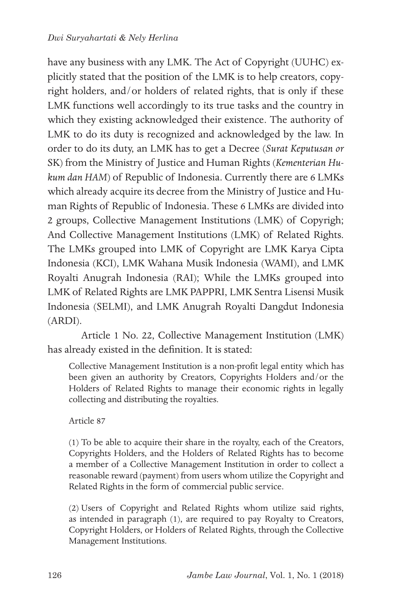have any business with any LMK. The Act of Copyright (UUHC) explicitly stated that the position of the LMK is to help creators, copyright holders, and/or holders of related rights, that is only if these LMK functions well accordingly to its true tasks and the country in which they existing acknowledged their existence. The authority of LMK to do its duty is recognized and acknowledged by the law. In order to do its duty, an LMK has to get a Decree (*Surat Keputusan or*  SK) from the Ministry of Justice and Human Rights (*Kementerian Hukum dan HAM*) of Republic of Indonesia. Currently there are 6 LMKs which already acquire its decree from the Ministry of Justice and Human Rights of Republic of Indonesia. These 6 LMKs are divided into 2 groups, Collective Management Institutions (LMK) of Copyrigh; And Collective Management Institutions (LMK) of Related Rights. The LMKs grouped into LMK of Copyright are LMK Karya Cipta Indonesia (KCI), LMK Wahana Musik Indonesia (WAMI), and LMK Royalti Anugrah Indonesia (RAI); While the LMKs grouped into LMK of Related Rights are LMK PAPPRI, LMK Sentra Lisensi Musik Indonesia (SELMI), and LMK Anugrah Royalti Dangdut Indonesia (ARDI).

Article 1 No. 22, Collective Management Institution (LMK) has already existed in the definition. It is stated:

Collective Management Institution is a non-profit legal entity which has been given an authority by Creators, Copyrights Holders and/or the Holders of Related Rights to manage their economic rights in legally collecting and distributing the royalties.

### Article 87

(1) To be able to acquire their share in the royalty, each of the Creators, Copyrights Holders, and the Holders of Related Rights has to become a member of a Collective Management Institution in order to collect a reasonable reward (payment) from users whom utilize the Copyright and Related Rights in the form of commercial public service.

(2) Users of Copyright and Related Rights whom utilize said rights, as intended in paragraph (1), are required to pay Royalty to Creators, Copyright Holders, or Holders of Related Rights, through the Collective Management Institutions.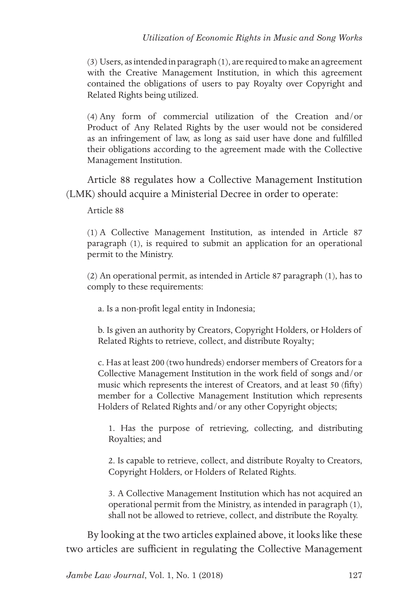(3) Users, as intended in paragraph (1), are required to make an agreement with the Creative Management Institution, in which this agreement contained the obligations of users to pay Royalty over Copyright and Related Rights being utilized.

(4) Any form of commercial utilization of the Creation and/or Product of Any Related Rights by the user would not be considered as an infringement of law, as long as said user have done and fulfilled their obligations according to the agreement made with the Collective Management Institution.

Article 88 regulates how a Collective Management Institution (LMK) should acquire a Ministerial Decree in order to operate:

Article 88

(1) A Collective Management Institution, as intended in Article 87 paragraph (1), is required to submit an application for an operational permit to the Ministry.

(2) An operational permit, as intended in Article 87 paragraph (1), has to comply to these requirements:

a. Is a non-profit legal entity in Indonesia;

b. Is given an authority by Creators, Copyright Holders, or Holders of Related Rights to retrieve, collect, and distribute Royalty;

c. Has at least 200 (two hundreds) endorser members of Creators for a Collective Management Institution in the work field of songs and/or music which represents the interest of Creators, and at least 50 (fifty) member for a Collective Management Institution which represents Holders of Related Rights and/or any other Copyright objects;

1. Has the purpose of retrieving, collecting, and distributing Royalties; and

2. Is capable to retrieve, collect, and distribute Royalty to Creators, Copyright Holders, or Holders of Related Rights.

3. A Collective Management Institution which has not acquired an operational permit from the Ministry, as intended in paragraph (1), shall not be allowed to retrieve, collect, and distribute the Royalty.

By looking at the two articles explained above, it looks like these two articles are sufficient in regulating the Collective Management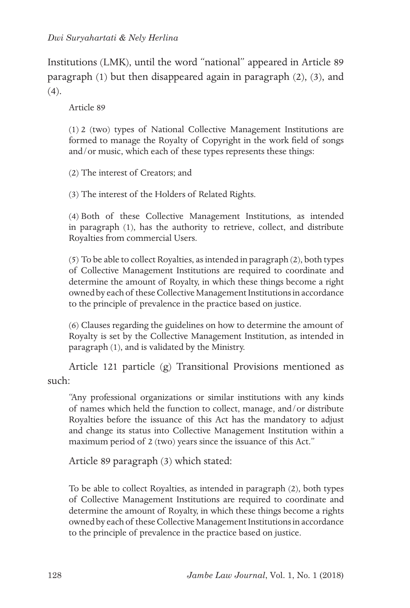Institutions (LMK), until the word "national" appeared in Article 89 paragraph (1) but then disappeared again in paragraph (2), (3), and  $(4)$ .

Article 89

(1) 2 (two) types of National Collective Management Institutions are formed to manage the Royalty of Copyright in the work field of songs and/or music, which each of these types represents these things:

(2) The interest of Creators; and

(3) The interest of the Holders of Related Rights.

(4) Both of these Collective Management Institutions, as intended in paragraph (1), has the authority to retrieve, collect, and distribute Royalties from commercial Users.

(5) To be able to collect Royalties, as intended in paragraph (2), both types of Collective Management Institutions are required to coordinate and determine the amount of Royalty, in which these things become a right owned by each of these Collective Management Institutions in accordance to the principle of prevalence in the practice based on justice.

(6) Clauses regarding the guidelines on how to determine the amount of Royalty is set by the Collective Management Institution, as intended in paragraph (1), and is validated by the Ministry.

Article 121 particle (g) Transitional Provisions mentioned as such:

"Any professional organizations or similar institutions with any kinds of names which held the function to collect, manage, and/or distribute Royalties before the issuance of this Act has the mandatory to adjust and change its status into Collective Management Institution within a maximum period of 2 (two) years since the issuance of this Act."

Article 89 paragraph (3) which stated:

To be able to collect Royalties, as intended in paragraph (2), both types of Collective Management Institutions are required to coordinate and determine the amount of Royalty, in which these things become a rights owned by each of these Collective Management Institutions in accordance to the principle of prevalence in the practice based on justice.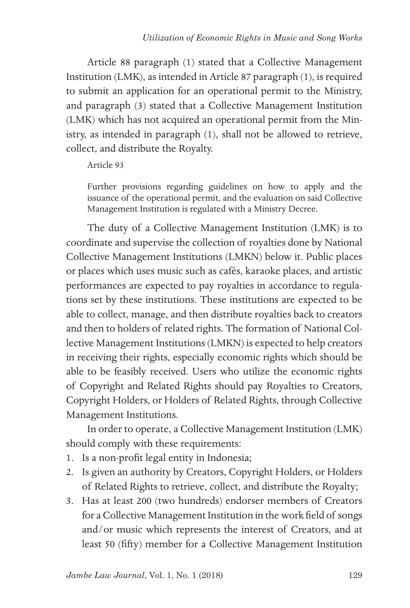Article 88 paragraph (1) stated that a Collective Management Institution (LMK), as intended in Article 87 paragraph (1), is required to submit an application for an operational permit to the Ministry, and paragraph (3) stated that a Collective Management Institution (LMK) which has not acquired an operational permit from the Ministry, as intended in paragraph (1), shall not be allowed to retrieve, collect, and distribute the Royalty.

Article 93

Further provisions regarding guidelines on how to apply and the issuance of the operational permit, and the evaluation on said Collective Management Institution is regulated with a Ministry Decree.

The duty of a Collective Management Institution (LMK) is to coordinate and supervise the collection of royalties done by National Collective Management Institutions (LMKN) below it. Public places or places which uses music such as cafés, karaoke places, and artistic performances are expected to pay royalties in accordance to regulations set by these institutions. These institutions are expected to be able to collect, manage, and then distribute royalties back to creators and then to holders of related rights. The formation of National Collective Management Institutions (LMKN) is expected to help creators in receiving their rights, especially economic rights which should be able to be feasibly received. Users who utilize the economic rights of Copyright and Related Rights should pay Royalties to Creators, Copyright Holders, or Holders of Related Rights, through Collective Management Institutions.

In order to operate, a Collective Management Institution (LMK) should comply with these requirements:

- 1. Is a non-profit legal entity in Indonesia;
- 2. Is given an authority by Creators, Copyright Holders, or Holders of Related Rights to retrieve, collect, and distribute the Royalty;
- 3. Has at least 200 (two hundreds) endorser members of Creators for a Collective Management Institution in the work field of songs and/or music which represents the interest of Creators, and at least 50 (fifty) member for a Collective Management Institution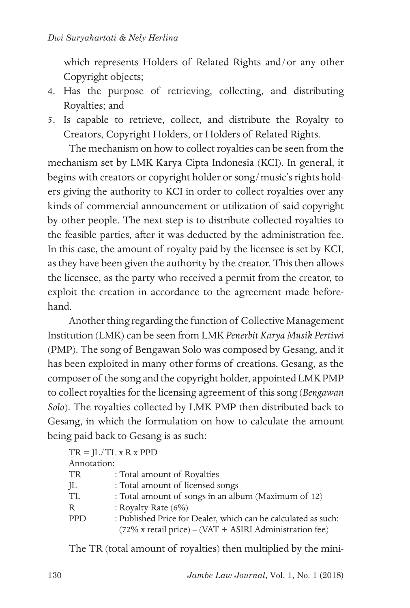which represents Holders of Related Rights and/or any other Copyright objects;

- 4. Has the purpose of retrieving, collecting, and distributing Royalties; and
- 5. Is capable to retrieve, collect, and distribute the Royalty to Creators, Copyright Holders, or Holders of Related Rights.

The mechanism on how to collect royalties can be seen from the mechanism set by LMK Karya Cipta Indonesia (KCI). In general, it begins with creators or copyright holder or song/music's rights holders giving the authority to KCI in order to collect royalties over any kinds of commercial announcement or utilization of said copyright by other people. The next step is to distribute collected royalties to the feasible parties, after it was deducted by the administration fee. In this case, the amount of royalty paid by the licensee is set by KCI, as they have been given the authority by the creator. This then allows the licensee, as the party who received a permit from the creator, to exploit the creation in accordance to the agreement made beforehand.

Another thing regarding the function of Collective Management Institution (LMK) can be seen from LMK *Penerbit Karya Musik Pertiwi* (PMP). The song of Bengawan Solo was composed by Gesang, and it has been exploited in many other forms of creations. Gesang, as the composer of the song and the copyright holder, appointed LMK PMP to collect royalties for the licensing agreement of this song (*Bengawan Solo*). The royalties collected by LMK PMP then distributed back to Gesang, in which the formulation on how to calculate the amount being paid back to Gesang is as such:

|             | $TR = IL/TL x R x PPD$                                                                                                               |
|-------------|--------------------------------------------------------------------------------------------------------------------------------------|
| Annotation: |                                                                                                                                      |
| TR          | : Total amount of Royalties                                                                                                          |
| JL          | : Total amount of licensed songs                                                                                                     |
| TL          | : Total amount of songs in an album (Maximum of 12)                                                                                  |
| R           | : Royalty Rate $(6\%)$                                                                                                               |
| <b>PPD</b>  | : Published Price for Dealer, which can be calculated as such:<br>$(72\% \text{ x retail price}) - (VAT + ASIRI Administration fee)$ |

The TR (total amount of royalties) then multiplied by the mini-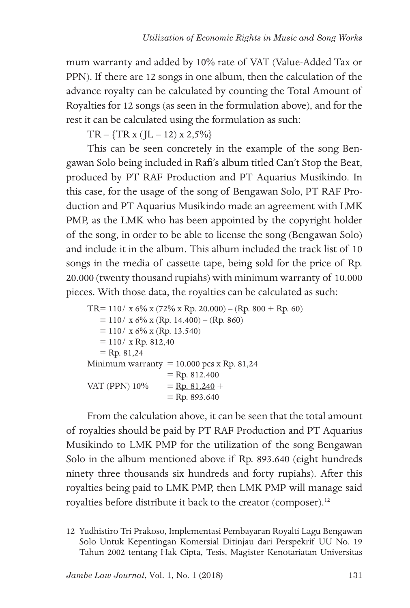mum warranty and added by 10% rate of VAT (Value-Added Tax or PPN). If there are 12 songs in one album, then the calculation of the advance royalty can be calculated by counting the Total Amount of Royalties for 12 songs (as seen in the formulation above), and for the rest it can be calculated using the formulation as such:

 $TR - \{TR x (JL - 12) x 2,5\% \}$ 

This can be seen concretely in the example of the song Bengawan Solo being included in Rafi's album titled Can't Stop the Beat, produced by PT RAF Production and PT Aquarius Musikindo. In this case, for the usage of the song of Bengawan Solo, PT RAF Production and PT Aquarius Musikindo made an agreement with LMK PMP, as the LMK who has been appointed by the copyright holder of the song, in order to be able to license the song (Bengawan Solo) and include it in the album. This album included the track list of 10 songs in the media of cassette tape, being sold for the price of Rp. 20.000 (twenty thousand rupiahs) with minimum warranty of 10.000 pieces. With those data, the royalties can be calculated as such:

 $TR = 110 / x 6\% x (72\% x Rp. 20.000) - (Rp. 800 + Rp. 60)$  $= 110 / x 6\% x (Rp. 14.400) - (Rp. 860)$  $= 110 / x 6\% x (Rp. 13.540)$  $= 110 / x$  Rp. 812,40  $=$  Rp. 81,24 Minimum warranty =  $10.000$  pcs x Rp. 81,24  $=$  Rp. 812.400 VAT (PPN)  $10\% =$  Rp. 81.240 +  $=$  Rp. 893.640

From the calculation above, it can be seen that the total amount of royalties should be paid by PT RAF Production and PT Aquarius Musikindo to LMK PMP for the utilization of the song Bengawan Solo in the album mentioned above if Rp. 893.640 (eight hundreds ninety three thousands six hundreds and forty rupiahs). After this royalties being paid to LMK PMP, then LMK PMP will manage said royalties before distribute it back to the creator (composer).<sup>12</sup>

<sup>12</sup> Yudhistiro Tri Prakoso, Implementasi Pembayaran Royalti Lagu Bengawan Solo Untuk Kepentingan Komersial Ditinjau dari Perspekrif UU No. 19 Tahun 2002 tentang Hak Cipta, Tesis, Magister Kenotariatan Universitas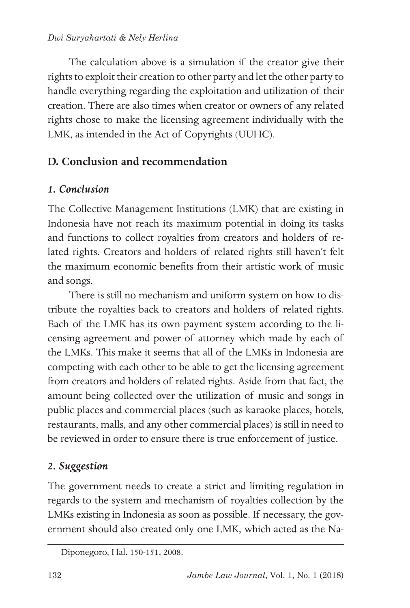### *Dwi Suryahartati & Nely Herlina*

The calculation above is a simulation if the creator give their rights to exploit their creation to other party and let the other party to handle everything regarding the exploitation and utilization of their creation. There are also times when creator or owners of any related rights chose to make the licensing agreement individually with the LMK, as intended in the Act of Copyrights (UUHC).

## **D. Conclusion and recommendation**

## *1. Conclusion*

The Collective Management Institutions (LMK) that are existing in Indonesia have not reach its maximum potential in doing its tasks and functions to collect royalties from creators and holders of related rights. Creators and holders of related rights still haven't felt the maximum economic benefits from their artistic work of music and songs.

There is still no mechanism and uniform system on how to distribute the royalties back to creators and holders of related rights. Each of the LMK has its own payment system according to the licensing agreement and power of attorney which made by each of the LMKs. This make it seems that all of the LMKs in Indonesia are competing with each other to be able to get the licensing agreement from creators and holders of related rights. Aside from that fact, the amount being collected over the utilization of music and songs in public places and commercial places (such as karaoke places, hotels, restaurants, malls, and any other commercial places) is still in need to be reviewed in order to ensure there is true enforcement of justice.

## *2. Suggestion*

The government needs to create a strict and limiting regulation in regards to the system and mechanism of royalties collection by the LMKs existing in Indonesia as soon as possible. If necessary, the government should also created only one LMK, which acted as the Na-

Diponegoro, Hal. 150-151, 2008.